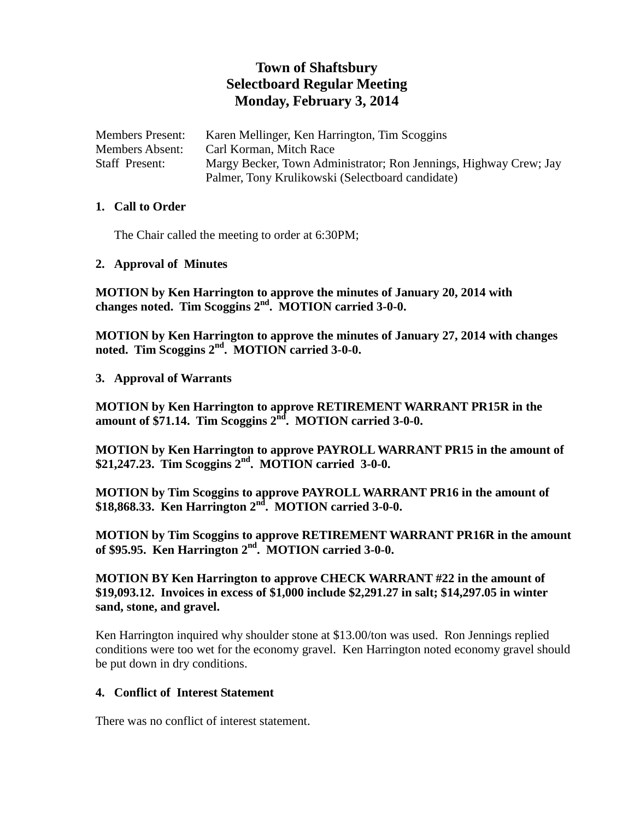# **Town of Shaftsbury Selectboard Regular Meeting Monday, February 3, 2014**

Members Present: Karen Mellinger, Ken Harrington, Tim Scoggins Members Absent: Carl Korman, Mitch Race Staff Present: Margy Becker, Town Administrator; Ron Jennings, Highway Crew; Jay Palmer, Tony Krulikowski (Selectboard candidate)

#### **1. Call to Order**

The Chair called the meeting to order at 6:30PM;

**2. Approval of Minutes**

**MOTION by Ken Harrington to approve the minutes of January 20, 2014 with changes noted. Tim Scoggins 2nd. MOTION carried 3-0-0.**

**MOTION by Ken Harrington to approve the minutes of January 27, 2014 with changes noted. Tim Scoggins 2nd. MOTION carried 3-0-0.**

**3. Approval of Warrants**

**MOTION by Ken Harrington to approve RETIREMENT WARRANT PR15R in the amount of \$71.14. Tim Scoggins 2nd. MOTION carried 3-0-0.**

**MOTION by Ken Harrington to approve PAYROLL WARRANT PR15 in the amount of \$21,247.23. Tim Scoggins 2nd. MOTION carried 3-0-0.**

**MOTION by Tim Scoggins to approve PAYROLL WARRANT PR16 in the amount of \$18,868.33. Ken Harrington 2nd. MOTION carried 3-0-0.** 

**MOTION by Tim Scoggins to approve RETIREMENT WARRANT PR16R in the amount of \$95.95. Ken Harrington 2nd. MOTION carried 3-0-0.**

**MOTION BY Ken Harrington to approve CHECK WARRANT #22 in the amount of \$19,093.12. Invoices in excess of \$1,000 include \$2,291.27 in salt; \$14,297.05 in winter sand, stone, and gravel.**

Ken Harrington inquired why shoulder stone at \$13.00/ton was used. Ron Jennings replied conditions were too wet for the economy gravel. Ken Harrington noted economy gravel should be put down in dry conditions.

#### **4. Conflict of Interest Statement**

There was no conflict of interest statement.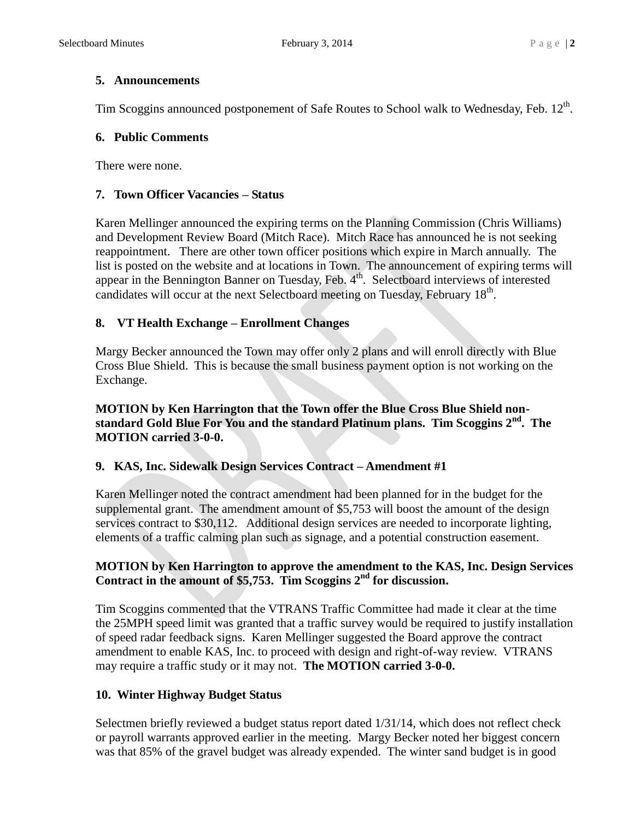#### **5. Announcements**

Tim Scoggins announced postponement of Safe Routes to School walk to Wednesday, Feb.  $12^{th}$ .

# **6. Public Comments**

There were none.

# **7. Town Officer Vacancies – Status**

Karen Mellinger announced the expiring terms on the Planning Commission (Chris Williams) and Development Review Board (Mitch Race). Mitch Race has announced he is not seeking reappointment. There are other town officer positions which expire in March annually. The list is posted on the website and at locations in Town. The announcement of expiring terms will appear in the Bennington Banner on Tuesday, Feb.  $4<sup>th</sup>$ . Selectboard interviews of interested candidates will occur at the next Selectboard meeting on Tuesday, February 18<sup>th</sup>.

# **8. VT Health Exchange – Enrollment Changes**

Margy Becker announced the Town may offer only 2 plans and will enroll directly with Blue Cross Blue Shield. This is because the small business payment option is not working on the Exchange.

#### **MOTION by Ken Harrington that the Town offer the Blue Cross Blue Shield nonstandard Gold Blue For You and the standard Platinum plans. Tim Scoggins 2nd. The MOTION carried 3-0-0.**

# **9. KAS, Inc. Sidewalk Design Services Contract – Amendment #1**

Karen Mellinger noted the contract amendment had been planned for in the budget for the supplemental grant. The amendment amount of \$5,753 will boost the amount of the design services contract to \$30,112. Additional design services are needed to incorporate lighting, elements of a traffic calming plan such as signage, and a potential construction easement.

# **MOTION by Ken Harrington to approve the amendment to the KAS, Inc. Design Services Contract in the amount of \$5,753. Tim Scoggins 2nd for discussion.**

Tim Scoggins commented that the VTRANS Traffic Committee had made it clear at the time the 25MPH speed limit was granted that a traffic survey would be required to justify installation of speed radar feedback signs. Karen Mellinger suggested the Board approve the contract amendment to enable KAS, Inc. to proceed with design and right-of-way review. VTRANS may require a traffic study or it may not. **The MOTION carried 3-0-0.**

# **10. Winter Highway Budget Status**

Selectmen briefly reviewed a budget status report dated 1/31/14, which does not reflect check or payroll warrants approved earlier in the meeting. Margy Becker noted her biggest concern was that 85% of the gravel budget was already expended. The winter sand budget is in good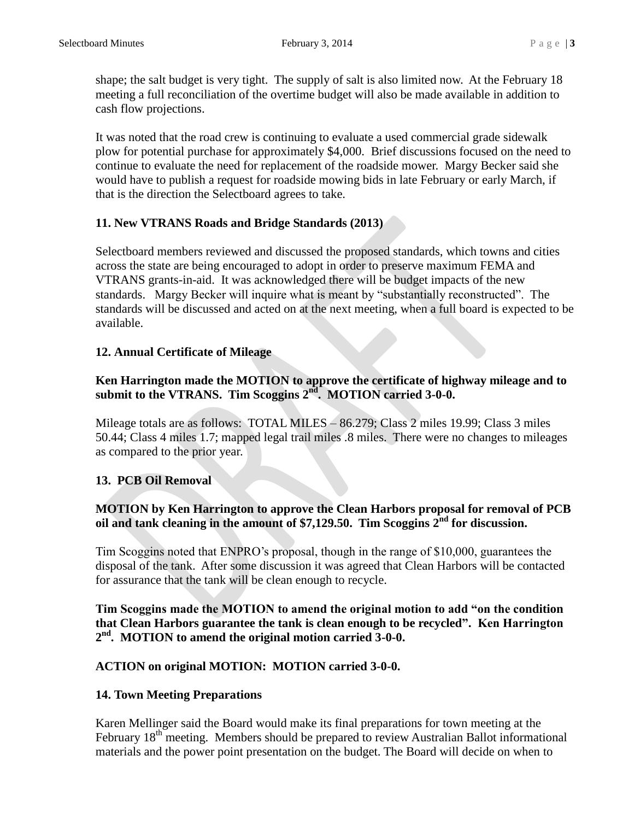shape; the salt budget is very tight. The supply of salt is also limited now. At the February 18 meeting a full reconciliation of the overtime budget will also be made available in addition to cash flow projections.

It was noted that the road crew is continuing to evaluate a used commercial grade sidewalk plow for potential purchase for approximately \$4,000. Brief discussions focused on the need to continue to evaluate the need for replacement of the roadside mower. Margy Becker said she would have to publish a request for roadside mowing bids in late February or early March, if that is the direction the Selectboard agrees to take.

# **11. New VTRANS Roads and Bridge Standards (2013)**

Selectboard members reviewed and discussed the proposed standards, which towns and cities across the state are being encouraged to adopt in order to preserve maximum FEMA and VTRANS grants-in-aid. It was acknowledged there will be budget impacts of the new standards. Margy Becker will inquire what is meant by "substantially reconstructed". The standards will be discussed and acted on at the next meeting, when a full board is expected to be available.

# **12. Annual Certificate of Mileage**

# **Ken Harrington made the MOTION to approve the certificate of highway mileage and to submit to the VTRANS. Tim Scoggins 2nd. MOTION carried 3-0-0.**

Mileage totals are as follows: TOTAL MILES – 86.279; Class 2 miles 19.99; Class 3 miles 50.44; Class 4 miles 1.7; mapped legal trail miles .8 miles. There were no changes to mileages as compared to the prior year.

#### **13. PCB Oil Removal**

#### **MOTION by Ken Harrington to approve the Clean Harbors proposal for removal of PCB**  oil and tank cleaning in the amount of \$7,129.50. Tim Scoggins  $2<sup>nd</sup>$  for discussion.

Tim Scoggins noted that ENPRO's proposal, though in the range of \$10,000, guarantees the disposal of the tank. After some discussion it was agreed that Clean Harbors will be contacted for assurance that the tank will be clean enough to recycle.

**Tim Scoggins made the MOTION to amend the original motion to add "on the condition that Clean Harbors guarantee the tank is clean enough to be recycled". Ken Harrington 2 nd. MOTION to amend the original motion carried 3-0-0.**

#### **ACTION on original MOTION: MOTION carried 3-0-0.**

#### **14. Town Meeting Preparations**

Karen Mellinger said the Board would make its final preparations for town meeting at the February 18<sup>th</sup> meeting. Members should be prepared to review Australian Ballot informational materials and the power point presentation on the budget. The Board will decide on when to